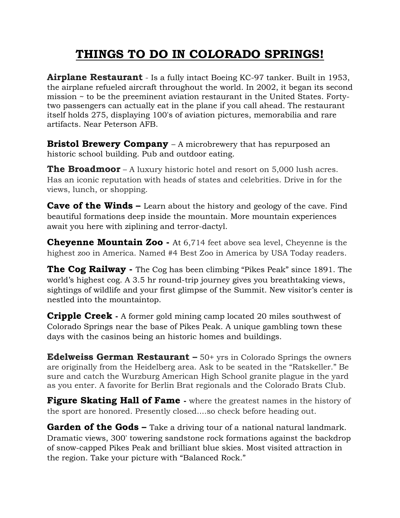## **THINGS TO DO IN COLORADO SPRINGS!**

**Airplane Restaurant** - Is a fully intact Boeing KC-97 tanker. Built in 1953, the airplane refueled aircraft throughout the world. In 2002, it began its second mission ~ to be the preeminent aviation restaurant in the United States. Fortytwo passengers can actually eat in the plane if you call ahead. The restaurant itself holds 275, displaying 100's of aviation pictures, memorabilia and rare artifacts. Near Peterson AFB.

**Bristol Brewery Company** – A microbrewery that has repurposed an historic school building. Pub and outdoor eating.

**The Broadmoor** – A luxury historic hotel and resort on 5,000 lush acres. Has an iconic reputation with heads of states and celebrities. Drive in for the views, lunch, or shopping.

**Cave of the Winds** – Learn about the history and geology of the cave. Find beautiful formations deep inside the mountain. More mountain experiences await you here with ziplining and terror-dactyl.

**Cheyenne Mountain Zoo -** At 6,714 feet above sea level, Cheyenne is the highest zoo in America. Named #4 Best Zoo in America by USA Today readers.

**The Cog Railway -** The Cog has been climbing "Pikes Peak" since 1891. The world's highest cog. A 3.5 hr round-trip journey gives you breathtaking views, sightings of wildlife and your first glimpse of the Summit. New visitor's center is nestled into the mountaintop.

**Cripple Creek -** A former gold mining camp located 20 miles southwest of Colorado Springs near the base of Pikes Peak. A unique gambling town these days with the casinos being an historic homes and buildings.

**Edelweiss German Restaurant –** 50+ yrs in Colorado Springs the owners are originally from the Heidelberg area. Ask to be seated in the "Ratskeller." Be sure and catch the Wurzburg American High School granite plague in the yard as you enter. A favorite for Berlin Brat regionals and the Colorado Brats Club.

**Figure Skating Hall of Fame** - where the greatest names in the history of the sport are honored. Presently closed....so check before heading out.

**Garden of the Gods –** Take a driving tour of a national natural landmark. Dramatic views, 300' towering sandstone rock formations against the backdrop of snow-capped Pikes Peak and brilliant blue skies. Most visited attraction in the region. Take your picture with "Balanced Rock."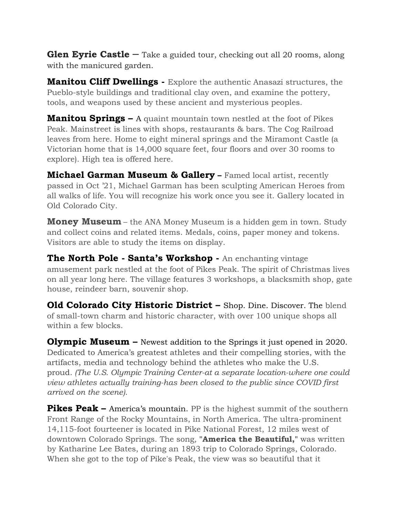**Glen Eyrie Castle** – Take a guided tour, checking out all 20 rooms, along with the manicured garden.

**Manitou Cliff Dwellings -** Explore the authentic Anasazi structures, the Pueblo-style buildings and traditional clay oven, and examine the pottery, tools, and weapons used by these ancient and mysterious peoples.

**Manitou Springs –** A quaint mountain town nestled at the foot of Pikes Peak. Mainstreet is lines with shops, restaurants & bars. The Cog Railroad leaves from here. Home to eight mineral springs and the Miramont Castle (a Victorian home that is 14,000 square feet, four floors and over 30 rooms to explore). High tea is offered here.

**Michael Garman Museum & Gallery –** Famed local artist, recently passed in Oct '21, Michael Garman has been sculpting American Heroes from all walks of life. You will recognize his work once you see it. Gallery located in Old Colorado City.

**Money Museum** – the ANA Money Museum is a hidden gem in town. Study and collect coins and related items. Medals, coins, paper money and tokens. Visitors are able to study the items on display.

**The North Pole - Santa's Workshop -** An enchanting vintage amusement park nestled at the foot of Pikes Peak. The spirit of Christmas lives on all year long here. The village features 3 workshops, a blacksmith shop, gate house, reindeer barn, souvenir shop.

**Old Colorado City Historic District –** Shop. Dine. Discover. The blend of small-town charm and historic character, with over 100 unique shops all within a few blocks.

**Olympic Museum –** Newest addition to the Springs it just opened in 2020. Dedicated to America's greatest athletes and their compelling stories, with the artifacts, media and technology behind the athletes who make the U.S. proud*. (The U.S. Olympic Training Center-at a separate location-where one could view athletes actually training-has been closed to the public since COVID first arrived on the scene).* 

**Pikes Peak –** America's mountain. PP is the highest summit of the southern Front Range of the Rocky Mountains, in North America. The ultra-prominent 14,115-foot fourteener is located in Pike National Forest, 12 miles west of downtown Colorado Springs. The song, **"America the Beautiful,"** was written by Katharine Lee Bates, during an 1893 trip to Colorado Springs, Colorado. When she got to the top of Pike's Peak, the view was so beautiful that it